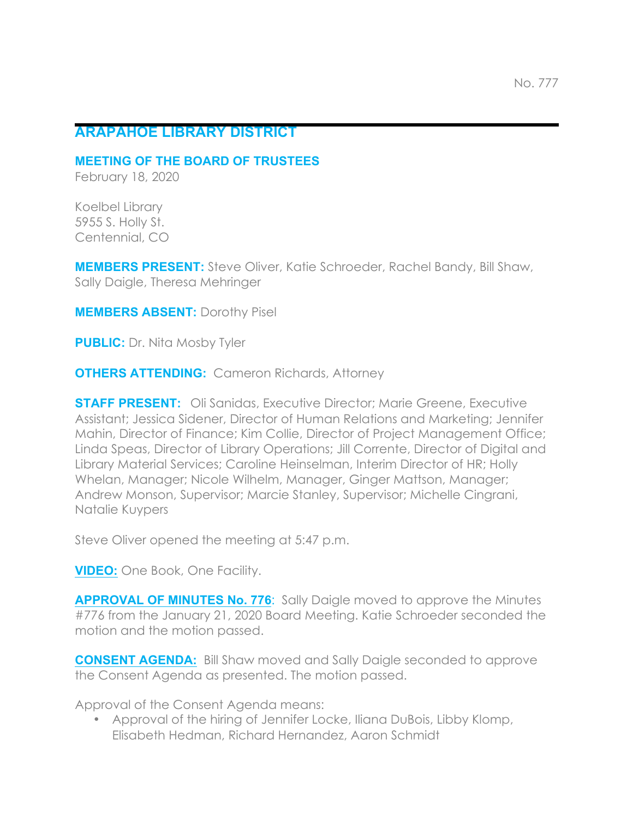# **ARAPAHOE LIBRARY DISTRICT**

**MEETING OF THE BOARD OF TRUSTEES**

February 18, 2020

Koelbel Library 5955 S. Holly St. Centennial, CO

**MEMBERS PRESENT:** Steve Oliver, Katie Schroeder, Rachel Bandy, Bill Shaw, Sally Daigle, Theresa Mehringer

**MEMBERS ABSENT:** Dorothy Pisel

**PUBLIC:** Dr. Nita Mosby Tyler

**OTHERS ATTENDING:** Cameron Richards, Attorney

**STAFF PRESENT:** Oli Sanidas, Executive Director; Marie Greene, Executive Assistant; Jessica Sidener, Director of Human Relations and Marketing; Jennifer Mahin, Director of Finance; Kim Collie, Director of Project Management Office; Linda Speas, Director of Library Operations; Jill Corrente, Director of Digital and Library Material Services; Caroline Heinselman, Interim Director of HR; Holly Whelan, Manager; Nicole Wilhelm, Manager, Ginger Mattson, Manager; Andrew Monson, Supervisor; Marcie Stanley, Supervisor; Michelle Cingrani, Natalie Kuypers

Steve Oliver opened the meeting at 5:47 p.m.

**VIDEO:** One Book, One Facility.

**APPROVAL OF MINUTES No. 776**: Sally Daigle moved to approve the Minutes #776 from the January 21, 2020 Board Meeting. Katie Schroeder seconded the motion and the motion passed.

**CONSENT AGENDA:** Bill Shaw moved and Sally Daigle seconded to approve the Consent Agenda as presented. The motion passed.

Approval of the Consent Agenda means:

• Approval of the hiring of Jennifer Locke, Iliana DuBois, Libby Klomp, Elisabeth Hedman, Richard Hernandez, Aaron Schmidt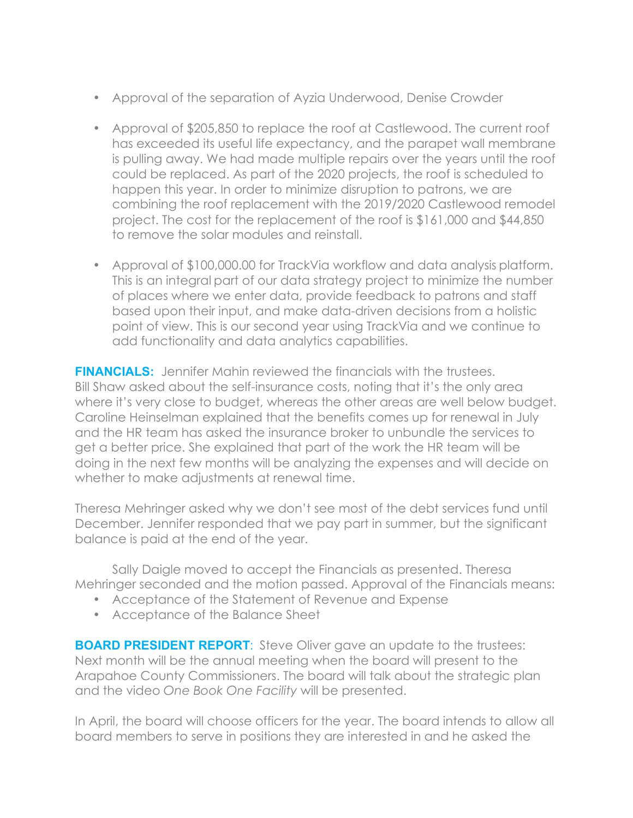- Approval of the separation of Ayzia Underwood, Denise Crowder
- Approval of \$205,850 to replace the roof at Castlewood. The current roof has exceeded its useful life expectancy, and the parapet wall membrane is pulling away. We had made multiple repairs over the years until the roof could be replaced. As part of the 2020 projects, the roof is scheduled to happen this year. In order to minimize disruption to patrons, we are combining the roof replacement with the 2019/2020 Castlewood remodel project. The cost for the replacement of the roof is \$161,000 and \$44,850 to remove the solar modules and reinstall.
- Approval of \$100,000.00 for TrackVia workflow and data analysis platform. This is an integral part of our data strategy project to minimize the number of places where we enter data, provide feedback to patrons and staff based upon their input, and make data-driven decisions from a holistic point of view. This is our second year using TrackVia and we continue to add functionality and data analytics capabilities.

**FINANCIALS:** Jennifer Mahin reviewed the financials with the trustees. Bill Shaw asked about the self-insurance costs, noting that it's the only area where it's very close to budget, whereas the other areas are well below budget. Caroline Heinselman explained that the benefits comes up for renewal in July and the HR team has asked the insurance broker to unbundle the services to get a better price. She explained that part of the work the HR team will be doing in the next few months will be analyzing the expenses and will decide on whether to make adjustments at renewal time.

Theresa Mehringer asked why we don't see most of the debt services fund until December. Jennifer responded that we pay part in summer, but the significant balance is paid at the end of the year.

Sally Daigle moved to accept the Financials as presented. Theresa Mehringer seconded and the motion passed. Approval of the Financials means:

- Acceptance of the Statement of Revenue and Expense
- Acceptance of the Balance Sheet

**BOARD PRESIDENT REPORT:** Steve Oliver gave an update to the trustees: Next month will be the annual meeting when the board will present to the Arapahoe County Commissioners. The board will talk about the strategic plan and the video *One Book One Facility* will be presented.

In April, the board will choose officers for the year. The board intends to allow all board members to serve in positions they are interested in and he asked the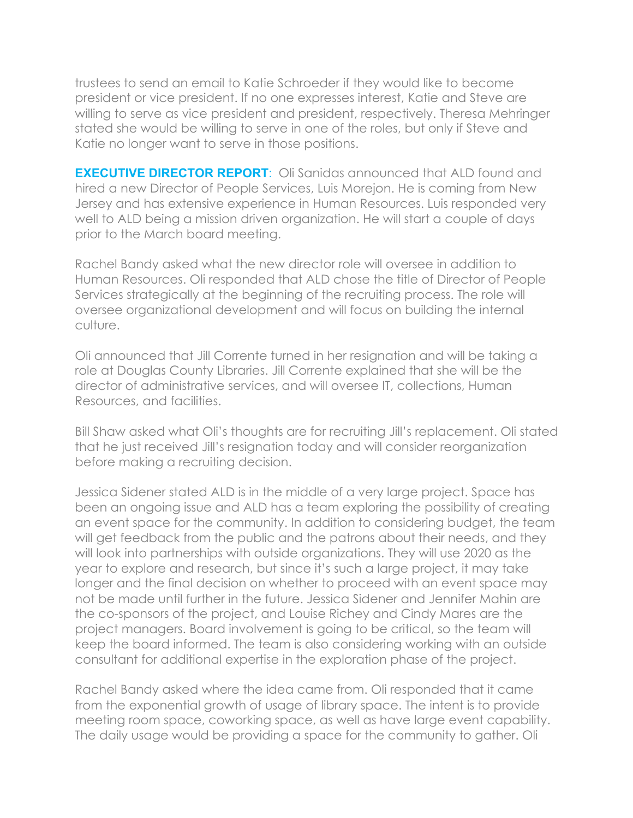trustees to send an email to Katie Schroeder if they would like to become president or vice president. If no one expresses interest, Katie and Steve are willing to serve as vice president and president, respectively. Theresa Mehringer stated she would be willing to serve in one of the roles, but only if Steve and Katie no longer want to serve in those positions.

**EXECUTIVE DIRECTOR REPORT:** Oli Sanidas announced that ALD found and hired a new Director of People Services, Luis Morejon. He is coming from New Jersey and has extensive experience in Human Resources. Luis responded very well to ALD being a mission driven organization. He will start a couple of days prior to the March board meeting.

Rachel Bandy asked what the new director role will oversee in addition to Human Resources. Oli responded that ALD chose the title of Director of People Services strategically at the beginning of the recruiting process. The role will oversee organizational development and will focus on building the internal culture.

Oli announced that Jill Corrente turned in her resignation and will be taking a role at Douglas County Libraries. Jill Corrente explained that she will be the director of administrative services, and will oversee IT, collections, Human Resources, and facilities.

Bill Shaw asked what Oli's thoughts are for recruiting Jill's replacement. Oli stated that he just received Jill's resignation today and will consider reorganization before making a recruiting decision.

Jessica Sidener stated ALD is in the middle of a very large project. Space has been an ongoing issue and ALD has a team exploring the possibility of creating an event space for the community. In addition to considering budget, the team will get feedback from the public and the patrons about their needs, and they will look into partnerships with outside organizations. They will use 2020 as the year to explore and research, but since it's such a large project, it may take longer and the final decision on whether to proceed with an event space may not be made until further in the future. Jessica Sidener and Jennifer Mahin are the co-sponsors of the project, and Louise Richey and Cindy Mares are the project managers. Board involvement is going to be critical, so the team will keep the board informed. The team is also considering working with an outside consultant for additional expertise in the exploration phase of the project.

Rachel Bandy asked where the idea came from. Oli responded that it came from the exponential growth of usage of library space. The intent is to provide meeting room space, coworking space, as well as have large event capability. The daily usage would be providing a space for the community to gather. Oli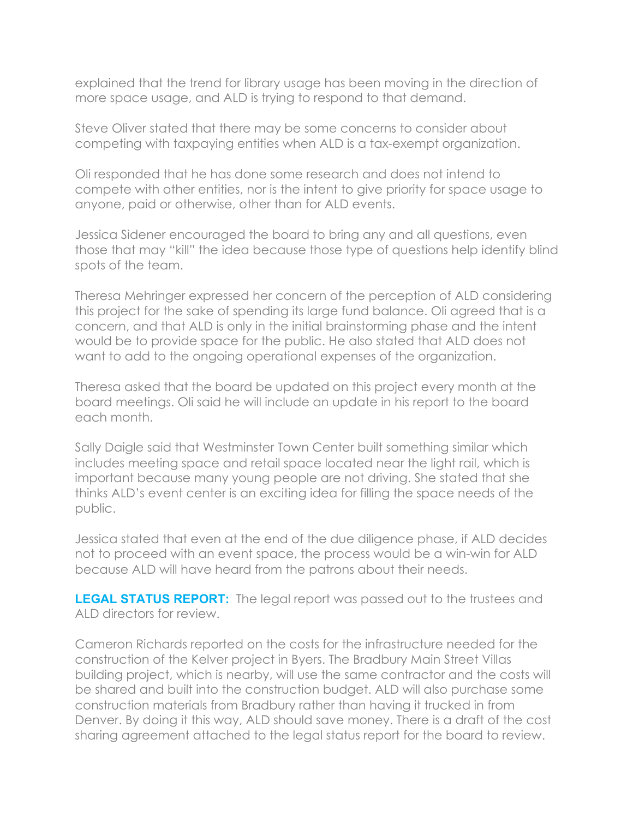explained that the trend for library usage has been moving in the direction of more space usage, and ALD is trying to respond to that demand.

Steve Oliver stated that there may be some concerns to consider about competing with taxpaying entities when ALD is a tax-exempt organization.

Oli responded that he has done some research and does not intend to compete with other entities, nor is the intent to give priority for space usage to anyone, paid or otherwise, other than for ALD events.

Jessica Sidener encouraged the board to bring any and all questions, even those that may "kill" the idea because those type of questions help identify blind spots of the team.

Theresa Mehringer expressed her concern of the perception of ALD considering this project for the sake of spending its large fund balance. Oli agreed that is a concern, and that ALD is only in the initial brainstorming phase and the intent would be to provide space for the public. He also stated that ALD does not want to add to the ongoing operational expenses of the organization.

Theresa asked that the board be updated on this project every month at the board meetings. Oli said he will include an update in his report to the board each month.

Sally Daigle said that Westminster Town Center built something similar which includes meeting space and retail space located near the light rail, which is important because many young people are not driving. She stated that she thinks ALD's event center is an exciting idea for filling the space needs of the public.

Jessica stated that even at the end of the due diligence phase, if ALD decides not to proceed with an event space, the process would be a win-win for ALD because ALD will have heard from the patrons about their needs.

**LEGAL STATUS REPORT:** The legal report was passed out to the trustees and ALD directors for review.

Cameron Richards reported on the costs for the infrastructure needed for the construction of the Kelver project in Byers. The Bradbury Main Street Villas building project, which is nearby, will use the same contractor and the costs will be shared and built into the construction budget. ALD will also purchase some construction materials from Bradbury rather than having it trucked in from Denver. By doing it this way, ALD should save money. There is a draft of the cost sharing agreement attached to the legal status report for the board to review.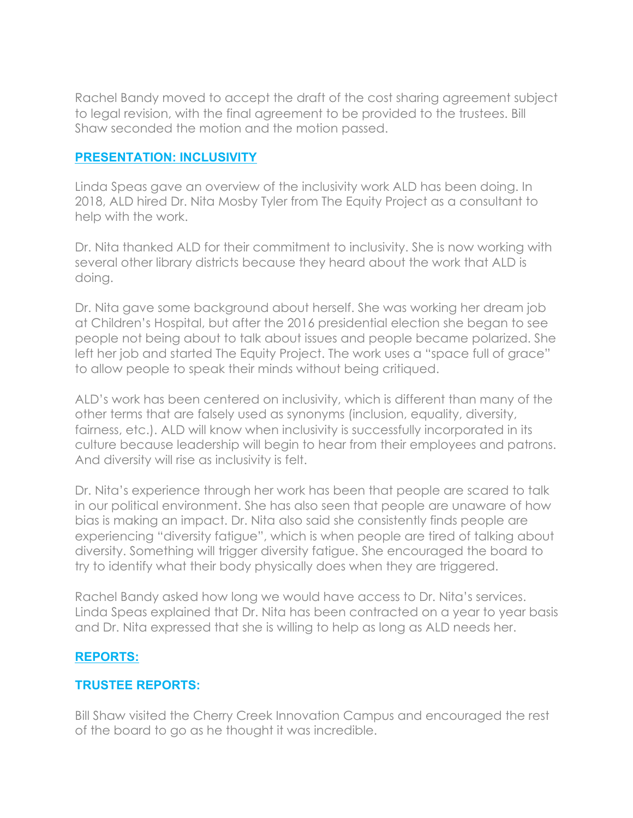Rachel Bandy moved to accept the draft of the cost sharing agreement subject to legal revision, with the final agreement to be provided to the trustees. Bill Shaw seconded the motion and the motion passed.

## **PRESENTATION: INCLUSIVITY**

Linda Speas gave an overview of the inclusivity work ALD has been doing. In 2018, ALD hired Dr. Nita Mosby Tyler from The Equity Project as a consultant to help with the work.

Dr. Nita thanked ALD for their commitment to inclusivity. She is now working with several other library districts because they heard about the work that ALD is doing.

Dr. Nita gave some background about herself. She was working her dream job at Children's Hospital, but after the 2016 presidential election she began to see people not being about to talk about issues and people became polarized. She left her job and started The Equity Project. The work uses a "space full of grace" to allow people to speak their minds without being critiqued.

ALD's work has been centered on inclusivity, which is different than many of the other terms that are falsely used as synonyms (inclusion, equality, diversity, fairness, etc.). ALD will know when inclusivity is successfully incorporated in its culture because leadership will begin to hear from their employees and patrons. And diversity will rise as inclusivity is felt.

Dr. Nita's experience through her work has been that people are scared to talk in our political environment. She has also seen that people are unaware of how bias is making an impact. Dr. Nita also said she consistently finds people are experiencing "diversity fatigue", which is when people are tired of talking about diversity. Something will trigger diversity fatigue. She encouraged the board to try to identify what their body physically does when they are triggered.

Rachel Bandy asked how long we would have access to Dr. Nita's services. Linda Speas explained that Dr. Nita has been contracted on a year to year basis and Dr. Nita expressed that she is willing to help as long as ALD needs her.

## **REPORTS:**

# **TRUSTEE REPORTS:**

Bill Shaw visited the Cherry Creek Innovation Campus and encouraged the rest of the board to go as he thought it was incredible.